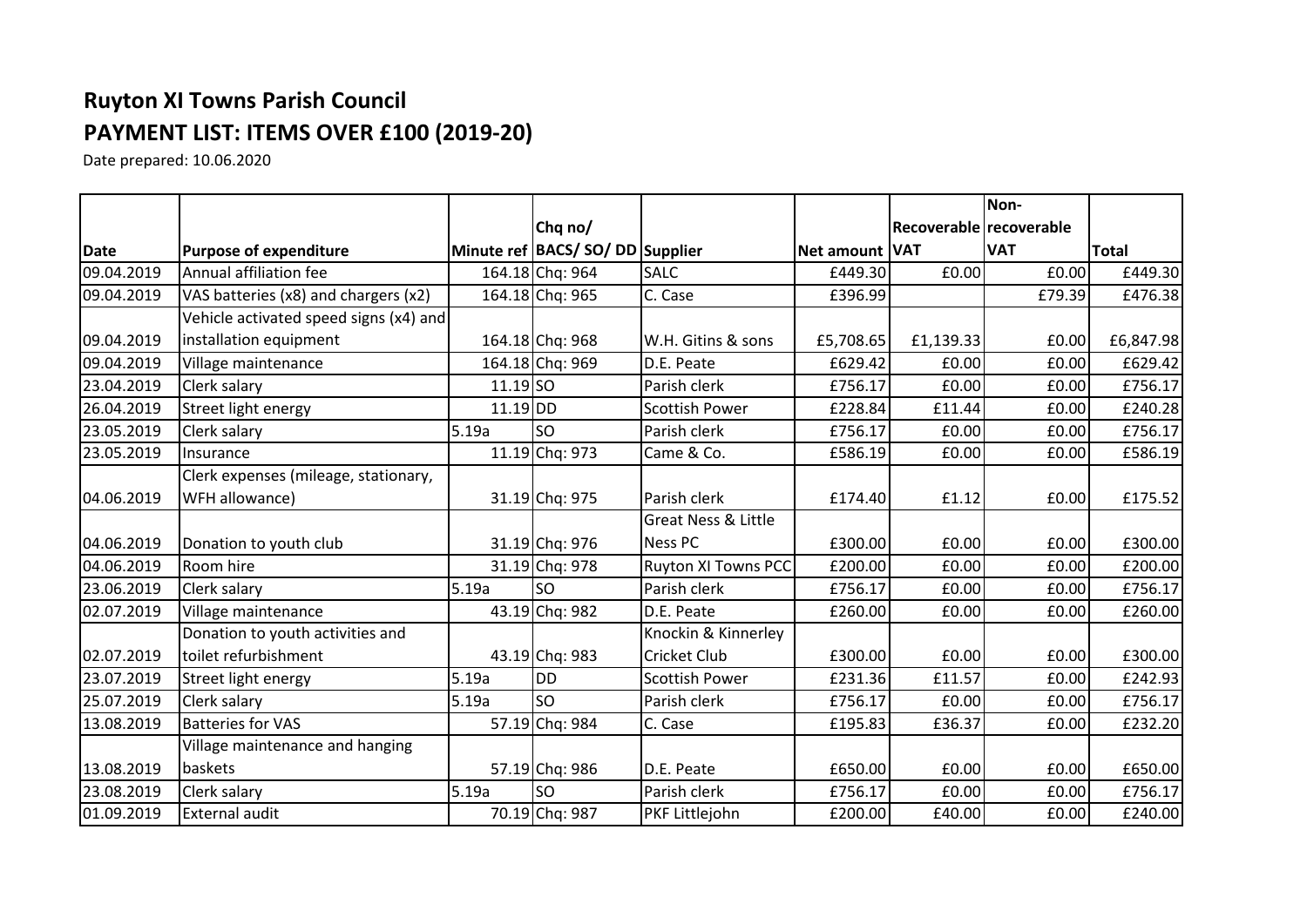## **Ruyton XI Towns Parish Council PAYMENT LIST: ITEMS OVER £100 (2019-20)**

Date prepared: 10.06.2020

|            |                                        |            |                                      |                                |                |                         | Non-       |              |
|------------|----------------------------------------|------------|--------------------------------------|--------------------------------|----------------|-------------------------|------------|--------------|
|            |                                        |            | Chq no/                              |                                |                | Recoverable recoverable |            |              |
| Date       | <b>Purpose of expenditure</b>          |            | Minute ref   BACS/ SO/ DD   Supplier |                                | Net amount VAT |                         | <b>VAT</b> | <b>Total</b> |
| 09.04.2019 | Annual affiliation fee                 |            | 164.18 Chq: 964                      | <b>SALC</b>                    | £449.30        | £0.00                   | £0.00      | £449.30      |
| 09.04.2019 | VAS batteries (x8) and chargers (x2)   |            | 164.18 Chq: 965                      | C. Case                        | £396.99        |                         | £79.39     | £476.38      |
|            | Vehicle activated speed signs (x4) and |            |                                      |                                |                |                         |            |              |
| 09.04.2019 | installation equipment                 |            | 164.18 Chq: 968                      | W.H. Gitins & sons             | £5,708.65      | £1,139.33               | £0.00      | £6,847.98    |
| 09.04.2019 | Village maintenance                    |            | 164.18 Chq: 969                      | D.E. Peate                     | £629.42        | £0.00                   | £0.00      | £629.42      |
| 23.04.2019 | <b>Clerk salary</b>                    | $11.19$ SO |                                      | Parish clerk                   | £756.17        | £0.00                   | £0.00      | £756.17      |
| 26.04.2019 | Street light energy                    | $11.19$ DD |                                      | <b>Scottish Power</b>          | £228.84        | £11.44                  | £0.00      | £240.28      |
| 23.05.2019 | Clerk salary                           | 5.19a      | <b>SO</b>                            | Parish clerk                   | £756.17        | £0.00                   | £0.00      | £756.17      |
| 23.05.2019 | Insurance                              |            | 11.19 Chq: 973                       | Came & Co.                     | £586.19        | £0.00                   | £0.00      | £586.19      |
|            | Clerk expenses (mileage, stationary,   |            |                                      |                                |                |                         |            |              |
| 04.06.2019 | WFH allowance)                         |            | 31.19 Chq: 975                       | Parish clerk                   | £174.40        | £1.12                   | £0.00      | £175.52      |
|            |                                        |            |                                      | <b>Great Ness &amp; Little</b> |                |                         |            |              |
| 04.06.2019 | Donation to youth club                 |            | 31.19 Chq: 976                       | <b>Ness PC</b>                 | £300.00        | £0.00                   | £0.00      | £300.00      |
| 04.06.2019 | Room hire                              |            | 31.19 Chq: 978                       | <b>Ruyton XI Towns PCC</b>     | £200.00        | £0.00                   | £0.00      | £200.00      |
| 23.06.2019 | Clerk salary                           | 5.19a      | <b>SO</b>                            | Parish clerk                   | £756.17        | £0.00                   | £0.00      | £756.17      |
| 02.07.2019 | Village maintenance                    |            | 43.19 Chq: 982                       | D.E. Peate                     | £260.00        | £0.00                   | £0.00      | £260.00      |
|            | Donation to youth activities and       |            |                                      | Knockin & Kinnerley            |                |                         |            |              |
| 02.07.2019 | toilet refurbishment                   |            | 43.19 Chq: 983                       | <b>Cricket Club</b>            | £300.00        | £0.00                   | £0.00      | £300.00      |
| 23.07.2019 | Street light energy                    | 5.19a      | <b>DD</b>                            | <b>Scottish Power</b>          | £231.36        | £11.57                  | £0.00      | £242.93      |
| 25.07.2019 | Clerk salary                           | 5.19a      | <b>SO</b>                            | Parish clerk                   | £756.17        | £0.00                   | £0.00      | £756.17      |
| 13.08.2019 | <b>Batteries for VAS</b>               |            | 57.19 Chq: 984                       | C. Case                        | £195.83        | £36.37                  | £0.00      | £232.20      |
|            | Village maintenance and hanging        |            |                                      |                                |                |                         |            |              |
| 13.08.2019 | baskets                                |            | 57.19 Chq: 986                       | D.E. Peate                     | £650.00        | E0.00                   | £0.00      | £650.00      |
| 23.08.2019 | Clerk salary                           | 5.19a      | <b>SO</b>                            | Parish clerk                   | £756.17        | £0.00                   | £0.00      | £756.17      |
| 01.09.2019 | <b>External audit</b>                  |            | 70.19 Chq: 987                       | PKF Littlejohn                 | £200.00        | £40.00                  | £0.00      | £240.00      |